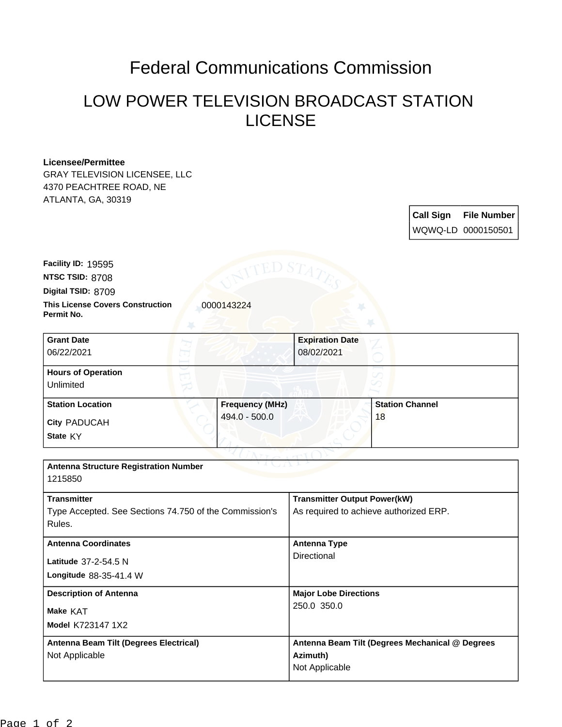## Federal Communications Commission

## LOW POWER TELEVISION BROADCAST STATION LICENSE

## **Licensee/Permittee**

GRAY TELEVISION LICENSEE, LLC 4370 PEACHTREE ROAD, NE ATLANTA, GA, 30319

| <b>Call Sign</b> | <b>File Number</b> |
|------------------|--------------------|
|                  | WQWQ-LD 0000150501 |

**This License Covers Construction**  0000143224 **Permit No. Digital TSID:** 8709 **NTSC TSID:** 8708 **Facility ID:** 19595

| <b>Grant Date</b><br>06/22/2021        |                        | <b>Expiration Date</b><br>08/02/2021 |                        |
|----------------------------------------|------------------------|--------------------------------------|------------------------|
| <b>Hours of Operation</b><br>Unlimited |                        |                                      |                        |
| <b>Station Location</b>                | <b>Frequency (MHz)</b> |                                      | <b>Station Channel</b> |
| <b>City PADUCAH</b><br>State KY        | 494.0 - 500.0          |                                      | 18                     |

| <b>Antenna Structure Registration Number</b><br>1215850                                |                                                                               |  |  |
|----------------------------------------------------------------------------------------|-------------------------------------------------------------------------------|--|--|
| <b>Transmitter</b><br>Type Accepted. See Sections 74.750 of the Commission's<br>Rules. | <b>Transmitter Output Power(kW)</b><br>As required to achieve authorized ERP. |  |  |
| <b>Antenna Coordinates</b><br>Latitude 37-2-54.5 N<br>Longitude 88-35-41.4 W           | Antenna Type<br>Directional                                                   |  |  |
| <b>Description of Antenna</b><br>Make KAT<br><b>Model K723147 1X2</b>                  | <b>Major Lobe Directions</b><br>250.0 350.0                                   |  |  |
| Antenna Beam Tilt (Degrees Electrical)<br>Not Applicable                               | Antenna Beam Tilt (Degrees Mechanical @ Degrees<br>Azimuth)<br>Not Applicable |  |  |